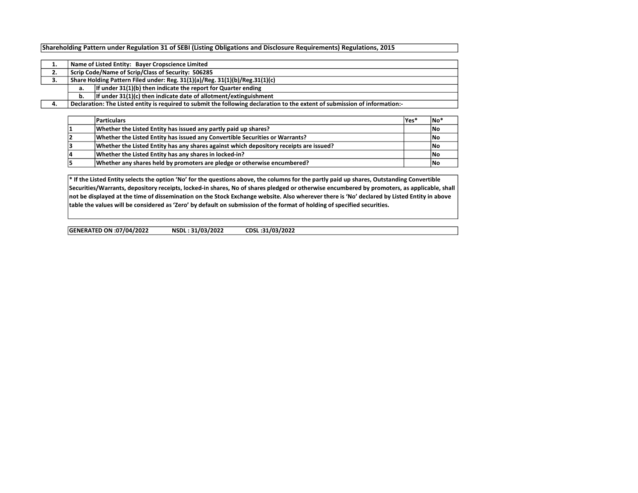## Shareholding Pattern under Regulation 31 of SEBI (Listing Obligations and Disclosure Requirements) Regulations, 2015

|    | Name of Listed Entity: Bayer Cropscience Limited   |                                                                                                                             |  |  |  |  |  |  |  |  |  |  |
|----|----------------------------------------------------|-----------------------------------------------------------------------------------------------------------------------------|--|--|--|--|--|--|--|--|--|--|
| 2. | Scrip Code/Name of Scrip/Class of Security: 506285 |                                                                                                                             |  |  |  |  |  |  |  |  |  |  |
| 3. |                                                    | Share Holding Pattern Filed under: Reg. 31(1)(a)/Reg. 31(1)(b)/Reg.31(1)(c)                                                 |  |  |  |  |  |  |  |  |  |  |
|    | а.                                                 | If under $31(1)(b)$ then indicate the report for Quarter ending                                                             |  |  |  |  |  |  |  |  |  |  |
|    | b.                                                 | If under $31(1)(c)$ then indicate date of allotment/extinguishment                                                          |  |  |  |  |  |  |  |  |  |  |
| 4. |                                                    | Declaration: The Listed entity is required to submit the following declaration to the extent of submission of information:- |  |  |  |  |  |  |  |  |  |  |

| <b>Particulars</b>                                                                     | lYes* | ∣No*      |
|----------------------------------------------------------------------------------------|-------|-----------|
| Whether the Listed Entity has issued any partly paid up shares?                        |       | No        |
| Whether the Listed Entity has issued any Convertible Securities or Warrants?           |       | No        |
| Whether the Listed Entity has any shares against which depository receipts are issued? |       | l No      |
| Whether the Listed Entity has any shares in locked-in?                                 |       | No        |
| Whether any shares held by promoters are pledge or otherwise encumbered?               |       | <b>N٥</b> |

\* If the Listed Entity selects the option 'No' for the questions above, the columns for the partly paid up shares, Outstanding Convertible Securities/Warrants, depository receipts, locked-in shares, No of shares pledged or otherwise encumbered by promoters, as applicable, shall not be displayed at the time of dissemination on the Stock Exchange website. Also wherever there is 'No' declared by Listed Entity in above table the values will be considered as 'Zero' by default on submission of the format of holding of specified securities.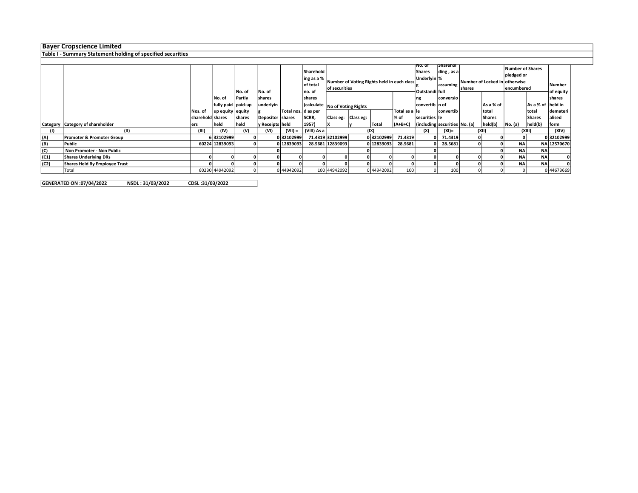## Bayer Cropscience Limited

Table I - Summary Statement holding of specified securities

|      |                                  |                  |                    | No. of        | No. of           |                       | Sharehold<br>$\vert \ln g$ as a % $\vert$<br>of total<br>no. of | Number of Voting Rights held in each class<br>of securities |  |            | πο. στ<br>Shares |                 |                               |       |               |           |                    |             | ⊺5narenoi<br>ding, as a<br>Underlyin %<br>Number of Locked in otherwise<br>assuming<br><b>Ishares</b><br>Outstandi full |  |  | <b>Number of Shares</b><br>pledged or<br>encumbered |  | Number<br>of equity |
|------|----------------------------------|------------------|--------------------|---------------|------------------|-----------------------|-----------------------------------------------------------------|-------------------------------------------------------------|--|------------|------------------|-----------------|-------------------------------|-------|---------------|-----------|--------------------|-------------|-------------------------------------------------------------------------------------------------------------------------|--|--|-----------------------------------------------------|--|---------------------|
|      |                                  |                  | No. of             | Partly        | shares           |                       | <b>Ishares</b>                                                  |                                                             |  |            |                  | ng              | conversio                     |       |               |           |                    | shares      |                                                                                                                         |  |  |                                                     |  |                     |
|      |                                  |                  | fully paid paid-up |               | underlyin        |                       |                                                                 | Calculate No of Voting Rights                               |  |            |                  | convertib  n of |                               |       | l As a % of   |           | As a % of lheld in |             |                                                                                                                         |  |  |                                                     |  |                     |
|      |                                  | Nos. of          | up equity equity   |               |                  | Total nos.   d as per |                                                                 |                                                             |  |            | Total as a lle   |                 | convertib                     |       | total         |           | total              | demateri    |                                                                                                                         |  |  |                                                     |  |                     |
|      |                                  | sharehold shares |                    | <b>shares</b> | Depositor shares |                       | SCRR,                                                           | Class eg: Class eg:                                         |  |            | % of             | securities lle  |                               |       | <b>Shares</b> |           | Shares             | alised      |                                                                                                                         |  |  |                                                     |  |                     |
|      | Category Category of shareholder | lers             | held               | held          | y Receipts held  |                       | 1957)                                                           |                                                             |  | Total      | $(A+B+C)$        |                 | (including securities No. (a) |       | held(b)       | No. (a)   | held(b)            | form        |                                                                                                                         |  |  |                                                     |  |                     |
|      |                                  | (III)            | (IV)               | (V)           | (VI)             | (VII) =               | (VIII) As a                                                     |                                                             |  | (IX)       |                  | (X)             | (XI)=                         | (XII) |               | (XIII)    |                    | (XIV)       |                                                                                                                         |  |  |                                                     |  |                     |
| (A)  | Promoter & Promoter Group        |                  | 632102999          |               |                  | 032102999             |                                                                 | 71.4319 32102999                                            |  | 032102999  | 71.4319          |                 | 71.4319                       |       |               |           |                    | 032102999   |                                                                                                                         |  |  |                                                     |  |                     |
| (B)  | Public                           |                  | 60224 12839093     |               |                  | 0 12839093            |                                                                 | 28.5681 12839093                                            |  | 0 12839093 | 28.5681          |                 | 28.5681                       |       |               | <b>NA</b> |                    | NA 12570670 |                                                                                                                         |  |  |                                                     |  |                     |
| (C)  | Non Promoter - Non Public        |                  |                    |               |                  |                       |                                                                 |                                                             |  |            |                  |                 |                               |       |               | <b>NA</b> | <b>NA</b>          |             |                                                                                                                         |  |  |                                                     |  |                     |
| (C1) | <b>Shares Underlying DRs</b>     |                  |                    |               |                  |                       |                                                                 |                                                             |  |            |                  |                 |                               |       |               | <b>NA</b> | <b>NA</b>          |             |                                                                                                                         |  |  |                                                     |  |                     |
| (C2) | Shares Held By Employee Trust    |                  |                    |               |                  |                       |                                                                 |                                                             |  |            |                  |                 |                               |       |               | <b>NA</b> | <b>NA</b>          |             |                                                                                                                         |  |  |                                                     |  |                     |
|      | Total                            |                  | 60230 44942092     |               |                  | 0 44942092            |                                                                 | 100 44942092                                                |  | 0 44942092 | 100              |                 | 100                           |       |               |           |                    | 044673669   |                                                                                                                         |  |  |                                                     |  |                     |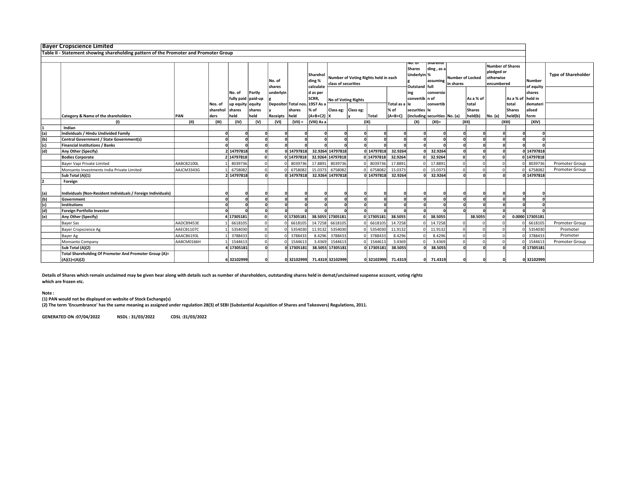|                | <b>Bayer Cropscience Limited</b>                                                     |            |          |                    |          |                  |                             |                                 |                     |                                                             |                    |                |                                                 |           |           |                  |            |                                                                  |                     |                            |
|----------------|--------------------------------------------------------------------------------------|------------|----------|--------------------|----------|------------------|-----------------------------|---------------------------------|---------------------|-------------------------------------------------------------|--------------------|----------------|-------------------------------------------------|-----------|-----------|------------------|------------|------------------------------------------------------------------|---------------------|----------------------------|
|                | Table II - Statement showing shareholding pattern of the Promoter and Promoter Group |            |          |                    |          |                  |                             |                                 |                     |                                                             |                    |                |                                                 |           |           |                  |            |                                                                  |                     |                            |
|                | snareno<br>VO. OI                                                                    |            |          |                    |          |                  |                             |                                 |                     |                                                             |                    |                |                                                 |           |           |                  |            |                                                                  |                     |                            |
|                |                                                                                      |            |          |                    |          | No. of<br>shares |                             | Sharehol<br>ding %<br>calculate |                     | Number of Voting Rights held in each<br>class of securities |                    |                | Shares<br>ding, as a<br>Underlyin %<br>assuming |           | in shares | Number of Locked |            | <b>Number of Shares</b><br>pledged or<br>otherwise<br>encumbered |                     | <b>Type of Shareholder</b> |
|                |                                                                                      |            |          | No. of             | Partly   | underlyin        |                             | d as per                        |                     |                                                             |                    |                | Outstand   full<br>ing                          | conversio |           |                  |            |                                                                  | of equity<br>shares |                            |
|                |                                                                                      |            |          | fully paid paid-up |          |                  |                             | SCRR,                           |                     |                                                             |                    |                | convertib n of                                  |           |           | As a % of        |            | l As a % of                                                      | held in             |                            |
|                |                                                                                      |            | Nos. of  | up equity equity   |          |                  | Depositor Total nos.        | 1957 As a                       | No of Voting Rights |                                                             |                    | Total as a ∣le |                                                 | convertib |           | total            |            | total                                                            | demater             |                            |
|                |                                                                                      |            | sharehol | shares             | shares   |                  | shares                      | % of                            | Class eg: Class eg: |                                                             |                    | % of           | securities le                                   |           |           | <b>Shares</b>    |            | Shares                                                           | alised              |                            |
|                | Category & Name of the shareholders                                                  | PAN        | ders     | held               | held     | Receipts         | held                        | $ $ (A+B+C2) X                  |                     |                                                             | <b>Total</b>       | $(A+B+C)$      | (including securities No. (a)                   |           |           | held(b)          | No. (a)    | held(b)                                                          | form                |                            |
|                | (1)                                                                                  | (II)       | (III)    | (IV)               | (V)      | (VI)             | $(VII) =$                   | (VIII) As a                     |                     |                                                             | (IX)               |                | (X)                                             | $(XI) =$  |           | (XII)            |            | (XIII)                                                           | (XIV)               |                            |
|                | Indian                                                                               |            |          |                    |          |                  |                             |                                 |                     |                                                             |                    |                |                                                 |           |           |                  |            |                                                                  |                     |                            |
| (a)            | Individuals / Hindu Undivided Family                                                 |            |          |                    |          |                  |                             |                                 |                     |                                                             |                    |                |                                                 |           |           |                  |            |                                                                  |                     |                            |
| (b)            | Central Government / State Government(s)                                             |            |          |                    |          |                  |                             |                                 |                     |                                                             |                    |                |                                                 |           |           |                  |            |                                                                  |                     |                            |
| (c)            | <b>Financial Institutions / Banks</b>                                                |            |          |                    |          |                  |                             |                                 |                     |                                                             |                    |                |                                                 |           |           |                  |            |                                                                  |                     |                            |
| (d)            | Any Other (Specify)                                                                  |            |          | 2 14797818         | nl       |                  | 0 14797818                  |                                 | 32.9264 14797818    |                                                             | 0 14797818         | 32.9264        |                                                 | 32.9264   |           |                  |            |                                                                  | 0 14797818          |                            |
|                | <b>Bodies Corporate</b>                                                              |            |          | 2 14797818         | 0        |                  | 0 14797818                  |                                 | 32.9264 14797818    |                                                             | 0 14797818         | 32.9264        |                                                 | 32.9264   |           |                  | $\sqrt{ }$ |                                                                  | 0 14797818          |                            |
|                | Bayer Vapi Private Limited                                                           | AABCB2100L |          | 8039736            | $\Omega$ |                  | 8039736                     | 17.8891                         | 8039736             |                                                             | 8039736            | 17.8891        |                                                 | 17.8891   |           |                  |            |                                                                  | 8039736             | Promoter Group             |
|                | Monsanto Investments India Private Limited                                           | AAJCM3343G |          | 6758082            |          |                  | 6758082                     | 15.0373                         | 6758082             |                                                             | 6758082            | 15.0373        |                                                 | 15.0373   |           |                  |            |                                                                  | 675808              | Promoter Group             |
|                | Sub Total (A)(1)                                                                     |            |          | 2 14797818         |          |                  | 0 14797818                  |                                 | 32.9264 14797818    |                                                             | 0 14797818         | 32.9264        |                                                 | 32.9264   |           |                  |            |                                                                  | 0 14797818          |                            |
|                | Foreign                                                                              |            |          |                    |          |                  |                             |                                 |                     |                                                             |                    |                |                                                 |           |           |                  |            |                                                                  |                     |                            |
| (a)            | Individuals (Non-Resident Individuals / Foreign Individuals)                         |            |          |                    |          |                  |                             |                                 |                     |                                                             |                    |                |                                                 |           |           |                  |            |                                                                  |                     |                            |
| (b)            | Government                                                                           |            |          |                    |          |                  |                             |                                 |                     |                                                             |                    |                |                                                 |           |           |                  |            |                                                                  |                     |                            |
| (c)            | <b>Institutions</b>                                                                  |            |          |                    |          |                  |                             |                                 |                     |                                                             |                    |                |                                                 |           |           |                  |            |                                                                  |                     |                            |
| (d)            | <b>Foreign Portfolio Investor</b>                                                    |            |          |                    |          |                  |                             |                                 |                     |                                                             |                    |                |                                                 |           |           |                  |            |                                                                  |                     |                            |
| $\overline{e}$ | Any Other (Specify)                                                                  |            |          | 4 17305181         | $\Omega$ |                  | 0 17305181                  |                                 | 38.5055 17305181    |                                                             | 0 17305181         | 38.5055        |                                                 | 38.5055   |           | 38.5055          |            |                                                                  | 0.0000 17305181     |                            |
|                | <b>Bayer Sas</b>                                                                     | AADCB9453E |          | 6618105            | $\Omega$ |                  | 6618105                     | 14.7258                         | 6618105             |                                                             | 6618105            | 14.7258        |                                                 | 14.7258   |           |                  |            |                                                                  | 661810              | Promoter Group             |
|                | <b>Bayer Cropscience Ag</b>                                                          | AAECB1107C |          | 5354030            | $\Omega$ |                  | 5354030                     | 11.9132                         | 5354030             |                                                             | 5354030            | 11.9132        |                                                 | 11.9132   |           |                  |            |                                                                  | 5354030             | Promoter                   |
|                | Bayer Ag                                                                             | AAACB6193L |          | 3788433            |          |                  | 3788433                     | 8.4296                          | 3788433             |                                                             | 3788433            | 8.4296         |                                                 | 8.4296    |           |                  |            |                                                                  | 3788433             | Promoter                   |
|                | Monsanto Company                                                                     | AABCM0166H |          | 1544613            |          |                  | 1544613                     | 3.4369                          | 1544613             |                                                             | 1544613            | 3.4369         |                                                 | 3.4369    |           |                  |            |                                                                  | 154461              | Promoter Group             |
|                | Sub Total (A)(2)                                                                     |            |          | 4 17305181         |          |                  | 0 17305181                  |                                 | 38.5055 17305181    |                                                             | 0 17305181         | 38.5055        |                                                 | 38.5055   |           |                  |            |                                                                  | 0 17305181          |                            |
|                | Total Shareholding Of Promoter And Promoter Group (A)=<br>$(A)(1)+(A)(2)$            |            |          | 632102999          |          |                  | 0 32102999 71.4319 32102999 |                                 |                     |                                                             | 0 32102999 71.4319 |                |                                                 | 71.4319   |           |                  |            |                                                                  | 0 32102999          |                            |

Details of Shares which remain unclaimed may be given hear along with details such as number of shareholders, outstanding shares held in demat/unclaimed suspense account, voting rights which are frozen etc.

Note :

(1) PAN would not be displayed on website of Stock Exchange(s)

(2) The term 'Encumbrance' has the same meaning as assigned under regulation 28(3) of SEBI (Substantial Acquisition of Shares and Takeovers) Regulations, 2011.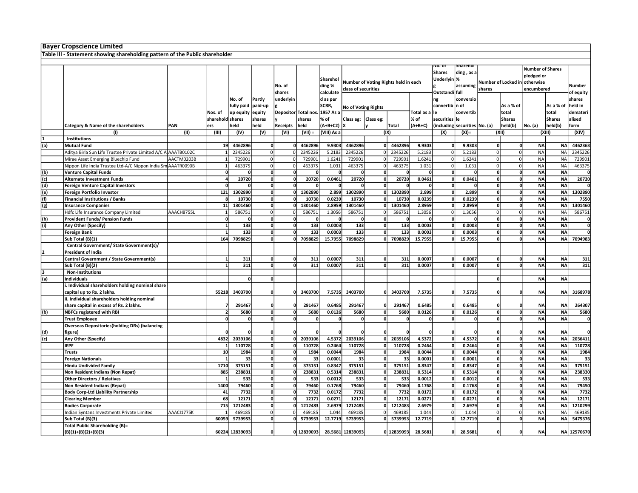|     | <b>Bayer Cropscience Limited</b>                                             |            |                  |                |                |                     |              |             |                     |                                      |              |              |                |                               |              |                     |                               |               |                         |  |
|-----|------------------------------------------------------------------------------|------------|------------------|----------------|----------------|---------------------|--------------|-------------|---------------------|--------------------------------------|--------------|--------------|----------------|-------------------------------|--------------|---------------------|-------------------------------|---------------|-------------------------|--|
|     | Table III - Statement showing shareholding pattern of the Public shareholder |            |                  |                |                |                     |              |             |                     |                                      |              |              |                |                               |              |                     |                               |               |                         |  |
|     |                                                                              |            |                  |                |                |                     |              |             |                     |                                      |              |              |                |                               |              |                     |                               |               |                         |  |
|     |                                                                              |            |                  |                |                |                     |              |             |                     |                                      |              |              | NO. OT         | snarenor                      |              |                     | <b>Number of Shares</b>       |               |                         |  |
|     |                                                                              |            |                  |                |                |                     |              |             |                     |                                      |              |              | <b>Shares</b>  | ding, as a                    |              |                     | pledged or                    |               |                         |  |
|     |                                                                              |            |                  |                |                |                     |              | Sharehol    |                     |                                      |              |              | Underlyin %    |                               |              |                     |                               |               |                         |  |
|     |                                                                              |            |                  |                |                | No. of              |              | ding %      |                     | Number of Voting Rights held in each |              |              |                | assuming                      |              |                     | Number of Locked in otherwise |               | Number                  |  |
|     |                                                                              |            |                  |                |                |                     |              |             |                     | class of securities                  |              |              |                |                               | shares       |                     | encumbered                    |               |                         |  |
|     |                                                                              |            |                  |                |                | shares              |              | calculate   |                     |                                      |              |              | Outstandi full |                               |              |                     |                               |               | of equity               |  |
|     |                                                                              |            |                  | No. of         | Partly         | underlyin           |              | d as per    |                     |                                      |              |              | ng             | conversio                     |              |                     |                               |               | shares                  |  |
|     |                                                                              |            |                  | fully paid     | paid-up        |                     |              | SCRR,       | No of Voting Rights |                                      |              |              | convertib n of |                               |              | As a % of           |                               | As a % of     | held in                 |  |
|     |                                                                              |            | Nos. of          | up equity      | equity         | Depositor Total nos |              | 1957 As a   |                     |                                      |              | Total as a   | lle            | convertib                     |              | total               |                               | total         | demater                 |  |
|     |                                                                              |            | sharehold shares |                | shares         |                     | shares       | % of        | Class eg:           | Class eg:                            |              | % of         | securities le  |                               |              | <b>Shares</b>       |                               | <b>Shares</b> | alised                  |  |
|     |                                                                              | PAN        | ers              | held           | held           |                     | held         | $(A+B+C2)$  |                     |                                      |              | $(A+B+C)$    |                |                               |              |                     |                               |               |                         |  |
|     | Category & Name of the shareholders                                          |            |                  |                |                | Receipts            |              |             |                     |                                      | Total        |              |                | (including securities No. (a) |              | held(b)             | No. (a)                       | held(b)       | form                    |  |
|     | (1)                                                                          | (II)       | (III)            | (IV)           | (V)            | (VI)                | $(VII) =$    | (VIII) As a |                     |                                      | (IX)         |              | (X)            | $(XI) =$                      |              | (XII)               | (XIII)                        |               | (XIV)                   |  |
|     | <b>Institutions</b>                                                          |            |                  |                |                |                     |              |             |                     |                                      |              |              |                |                               |              |                     |                               |               |                         |  |
| (a) | <b>Mutual Fund</b>                                                           |            | 19               | 4462896        | 0              | O                   | 4462896      | 9.9303      | 4462896             | O                                    | 4462896      | 9.9303       |                | 9.9303                        | $\mathbf{0}$ |                     | <b>NA</b>                     | <b>NA</b>     | 4462363                 |  |
|     | Aditya Birla Sun Life Trustee Private Limited A/C A AAATB0102C               |            |                  | 2345226        | 0              |                     | 2345226      | 5.2183      | 2345226             | $\Omega$                             | 2345226      | 5.2183       | $\Omega$       | 5.2183                        | $\Omega$     |                     | <b>NA</b>                     | <b>NA</b>     | 2345226                 |  |
|     | Mirae Asset Emerging Bluechip Fund                                           | AACTM0203B |                  | 729901         | 0              | O                   | 729901       | 1.6241      | 729901              | $\Omega$                             | 729901       | 1.6241       | 0              | 1.6241                        | $\mathbf 0$  | 0                   | <b>NA</b>                     | <b>NA</b>     | 729901                  |  |
|     | Nippon Life India Trustee Ltd-A/C Nippon India Sm AAATR0090B                 |            | $\mathbf{1}$     | 463375         | $\mathbf 0$    | 0                   | 463375       | 1.031       | 463375              | $\overline{0}$                       | 463375       | 1.031        | $\Omega$       | 1.031                         | $\Omega$     |                     | <b>NA</b>                     | <b>NA</b>     | 463375                  |  |
| (b) | <b>Venture Capital Funds</b>                                                 |            | $\mathbf{0}$     | 0              | 0              | 0                   | 0            | $\Omega$    | O                   | 0                                    | $\Omega$     | 0            | $\Omega$       | ſ                             | $\mathbf 0$  | $\mathbf{0}$        | <b>NA</b>                     | <b>NA</b>     | 0                       |  |
| (c) | <b>Alternate Investment Funds</b>                                            |            |                  | 20720          | $\overline{0}$ | $\overline{0}$      | 20720        | 0.0461      | 20720               | $\overline{0}$                       | 20720        | 0.0461       |                | 0.0461                        |              |                     | <b>NA</b>                     | <b>NA</b>     | 20720                   |  |
|     |                                                                              |            | $\Omega$         | $\mathbf{0}$   | 0              | 0                   | $\Omega$     | $\mathbf 0$ | $\Omega$            | 0                                    | $\Omega$     | $\mathbf{0}$ | $\Omega$       | -C                            | $\mathbf{0}$ | 0                   | <b>NA</b>                     | <b>NA</b>     | $\mathbf{0}$            |  |
| (d) | <b>Foreign Venture Capital Investors</b>                                     |            |                  |                |                |                     |              |             |                     |                                      |              |              |                |                               |              |                     |                               |               |                         |  |
| (e) | <b>Foreign Portfolio Investor</b>                                            |            | $121$            | 1302890        | ol             | $\mathbf{0}$        | 1302890      | 2.899       | 1302890             | 0                                    | 1302890      | 2.899        |                | 2.899                         |              | O                   | <b>NA</b>                     | <b>NA</b>     | 1302890                 |  |
| (f) | <b>Financial Institutions / Banks</b>                                        |            | 8                | 10730          | 0              | $\mathbf{0}$        | 10730        | 0.0239      | 10730               | 0                                    | 10730        | 0.0239       |                | 0.0239                        | $\mathbf{0}$ | 0                   | <b>NA</b>                     | <b>NA</b>     | 7550                    |  |
| (g) | <b>Insurance Companies</b>                                                   |            | 11               | 1301460        | $\Omega$       | O                   | 1301460      | 2.8959      | 1301460             | 0                                    | 1301460      | 2.8959       |                | 2.8959                        | $\Omega$     | O                   | <b>NA</b>                     | <b>NA</b>     | 1301460                 |  |
|     | Hdfc Life Insurance Company Limited                                          | AAACH8755L |                  | 586751         | $\Omega$       | 0                   | 586751       | 1.3056      | 586751              | $\Omega$                             | 586751       | 1.3056       | $\Omega$       | 1.3056                        | $\Omega$     |                     | <b>NA</b>                     | <b>NA</b>     | 586751                  |  |
| (h) | <b>Provident Funds/ Pension Funds</b>                                        |            | 0                | 0              | 0              | 0                   |              | 0           | 0                   | 0                                    | $\mathbf{0}$ | $\mathbf{0}$ |                |                               | $\mathbf 0$  |                     | <b>NA</b>                     | <b>NA</b>     | 0                       |  |
| (i) | Any Other (Specify)                                                          |            | $1\overline{ }$  | 133            | $\mathbf{0}$   | $\Omega$            | 133          | 0.0003      | 133                 | 0                                    | 133          | 0.0003       |                | 0.0003                        | <sup>0</sup> | n                   | <b>NA</b>                     | <b>NA</b>     | $\overline{\mathbf{0}}$ |  |
|     | <b>Foreign Bank</b>                                                          |            | $1\overline{ }$  | 133            | $\mathbf{0}$   | $\mathbf{0}$        | 133          | 0.0003      | 133                 | 0                                    | 133          | 0.0003       |                | 0.0003                        | 0            | $\Omega$            | <b>NA</b>                     | <b>NA</b>     | 0                       |  |
|     |                                                                              |            | 164              | 7098829        |                | 0                   | 7098829      | 15.7955     | 7098829             | <sub>0</sub>                         | 7098829      |              |                |                               |              | 0                   | <b>NA</b>                     | <b>NA</b>     | 7094983                 |  |
|     | Sub Total (B)(1)                                                             |            |                  |                |                |                     |              |             |                     |                                      |              | 15.7955      |                | 15.7955                       |              |                     |                               |               |                         |  |
|     | Central Government/ State Government(s)/                                     |            |                  |                |                |                     |              |             |                     |                                      |              |              |                |                               |              |                     |                               |               |                         |  |
|     | <b>President of India</b>                                                    |            |                  |                |                |                     |              |             |                     |                                      |              |              |                |                               |              |                     |                               |               |                         |  |
|     | Central Government / State Government(s)                                     |            | $1\overline{ }$  | 311            | 0              | 0                   | 311          | 0.0007      | 311                 | 0                                    | 311          | 0.0007       | 0              | 0.0007                        | 0            | 0                   | <b>NA</b>                     | <b>NA</b>     | 311                     |  |
|     | Sub Total (B)(2)                                                             |            | $\overline{1}$   | 311            | 0              | $\mathbf{0}$        | 311          | 0.0007      | 311                 | $\Omega$                             | 311          | 0.0007       |                | 0.0007                        |              | 0                   | <b>NA</b>                     | <b>NA</b>     | 311                     |  |
|     | <b>Non-Institutions</b>                                                      |            |                  |                |                |                     |              |             |                     |                                      |              |              |                |                               |              |                     |                               |               |                         |  |
| (a) | <b>Individuals</b>                                                           |            |                  | $\Omega$       | O              |                     |              |             |                     |                                      |              |              |                |                               | $\Omega$     |                     | <b>NA</b>                     | <b>NA</b>     |                         |  |
|     | . Individual shareholders holding nominal share                              |            |                  |                |                |                     |              |             |                     |                                      |              |              |                |                               |              |                     |                               |               |                         |  |
|     | capital up to Rs. 2 lakhs.                                                   |            | 55218            | 3403700        |                | n                   | 3403700      | 7.5735      | 3403700             | n                                    | 3403700      | 7.5735       |                | 7.5735                        |              |                     | <b>NA</b>                     | <b>NA</b>     | 3168978                 |  |
|     |                                                                              |            |                  |                |                |                     |              |             |                     |                                      |              |              |                |                               |              |                     |                               |               |                         |  |
|     | ii. Individual shareholders holding nominal                                  |            |                  |                |                |                     |              |             |                     |                                      |              |              |                |                               |              |                     |                               |               |                         |  |
|     | share capital in excess of Rs. 2 lakhs.                                      |            |                  | 291467         |                | 0                   | 291467       | 0.6485      | 291467              | 0                                    | 291467       | 0.6485       |                | 0.6485                        |              |                     | NΑ                            | <b>NA</b>     | 264307                  |  |
| (b) | <b>NBFCs registered with RBI</b>                                             |            | $\overline{2}$   | 5680           | $\mathbf{0}$   | $\mathbf{0}$        | 5680         | 0.0126      | 5680                | $\overline{0}$                       | 5680         | 0.0126       |                | 0.0126                        |              | <sup>0</sup>        | <b>NA</b>                     | <b>NA</b>     | 5680                    |  |
|     | <b>Trust Employee</b>                                                        |            | $\overline{0}$   | $\mathbf 0$    | $\mathbf{0}$   | $\mathbf{0}$        | $\mathbf{0}$ | οl          | O                   | 0                                    | $\Omega$     | $\mathbf{0}$ | $\mathbf{0}$   | ſ                             | $\mathbf{0}$ | 0                   | <b>NA</b>                     | <b>NA</b>     | $\mathbf{0}$            |  |
|     | <b>Overseas Depositories(holding DRs) (balancing</b>                         |            |                  |                |                |                     |              |             |                     |                                      |              |              |                |                               |              |                     |                               |               |                         |  |
| (d) | figure)                                                                      |            |                  |                |                | n                   |              |             |                     |                                      |              |              |                |                               |              |                     | <b>NA</b>                     | <b>NA</b>     |                         |  |
| (c) | Any Other (Specify)                                                          |            | 4832             | 2039106        | ol             | $\mathbf{0}$        | 2039106      | 4.5372      | 2039106             | 0                                    | 2039106      | 4.5372       |                | 4.5372                        |              | O                   | <b>NA</b>                     | <b>NA</b>     | 2036411                 |  |
|     | <b>IEPF</b>                                                                  |            |                  | 110728         | ol             | 0                   | 110728       | 0.2464      | 110728              | 0                                    | 110728       | 0.2464       |                | 0.2464                        | $\Omega$     | <sub>0</sub>        | <b>NA</b>                     | <b>NA</b>     | 110728                  |  |
|     | <b>Trusts</b>                                                                |            | 10               | 1984           | $\mathbf{0}$   | 0                   | 1984         | 0.0044      | 1984                | $\mathbf{0}$                         | 1984         | 0.0044       |                | 0.0044                        | $\mathbf{0}$ |                     | <b>NA</b>                     | <b>NA</b>     | 1984                    |  |
|     |                                                                              |            | $\mathbf{1}$     | 33             | O              | $\Omega$            | 33           | 0.0001      | 33                  | $\mathbf{0}$                         | 33           | 0.0001       |                | 0.0001                        | $\mathbf{0}$ | n                   | <b>NA</b>                     | <b>NA</b>     | 33                      |  |
|     | <b>Foreign Nationals</b>                                                     |            |                  |                |                |                     |              |             |                     |                                      |              |              |                |                               |              |                     |                               |               |                         |  |
|     | <b>Hindu Undivided Family</b>                                                |            | 1710             | 375151         | $\mathbf{0}$   | 0                   | 375151       | 0.8347      | 375151              | $\mathbf{0}$                         | 375151       | 0.8347       |                | 0.8347                        | 0            | O                   | <b>NA</b>                     | <b>NA</b>     | 375151                  |  |
|     | Non Resident Indians (Non Repat)                                             |            | 885              | 238831         | $\mathbf{0}$   | 0                   | 238831       | 0.5314      | 238831              | $\mathbf{0}$                         | 238831       | 0.5314       |                | 0.5314                        | $\mathbf{0}$ | $\ddot{\mathbf{0}}$ | <b>NA</b>                     | <b>NA</b>     | 238330                  |  |
|     | <b>Other Directors / Relatives</b>                                           |            | $\mathbf{1}$     | 533            | 0              | 0                   | 533          | 0.0012      | 533                 | 0                                    | 533          | 0.0012       |                | 0.0012                        | $\mathbf 0$  | 0                   | <b>NA</b>                     | <b>NA</b>     | 533                     |  |
|     | Non Resident Indians (Repat)                                                 |            | 1400             | 79460          | $\overline{0}$ | $\mathbf{0}$        | 79460        | 0.1768      | 79460               | $\mathbf{0}$                         | 79460        | 0.1768       |                | 0.1768                        |              |                     | <b>NA</b>                     | <b>NA</b>     | 79450                   |  |
|     | <b>Body Corp-Ltd Liability Partnership</b>                                   |            | 41               | 7732           | 0              | $\mathbf{0}$        | 7732         | 0.0172      | 7732                | 0                                    | 7732         | 0.0172       |                | 0.0172                        | $\mathbf{0}$ | 0                   | <b>NA</b>                     | <b>NA</b>     | 7732                    |  |
|     | <b>Clearing Member</b>                                                       |            | 68               | 12171          | $\mathbf{0}$   | $\mathbf{0}$        | 12171        | 0.0271      | 12171               | $\mathbf{0}$                         | 12171        | 0.0271       |                | 0.0271                        | $\mathbf 0$  | 0                   | <b>NA</b>                     | <b>NA</b>     | 12171                   |  |
|     | <b>Bodies Corporate</b>                                                      |            | 715              | 1212483        | 0              | $\mathbf{0}$        | 1212483      | 2.6979      | 1212483             | 0                                    | 1212483      | 2.6979       | $\Omega$       | 2.6979                        | 0            | 0                   | <b>NA</b>                     | <b>NA</b>     | 1210299                 |  |
|     | Indian Syntans Investments Private Limited                                   | AAACI1775K |                  | 469185         | <sup>o</sup>   | $\Omega$            | 469185       | 1.044       | 469185              | $\Omega$                             | 469185       | 1.044        | $\Omega$       | 1.044                         | $\Omega$     |                     | <b>NA</b>                     | <b>NA</b>     | 469185                  |  |
|     | Sub Total (B)(3)                                                             |            | 60059            | 5739953        | ol             |                     | 5739953      | 12.7719     | 5739953             | $\Omega$                             | 5739953      | 12.7719      | $\Omega$       | 12.7719                       | $\Omega$     | ΩI                  | <b>NA</b>                     | <b>NA</b>     | 5475376                 |  |
|     | <b>Total Public Shareholding (B)=</b>                                        |            |                  |                |                |                     |              |             |                     |                                      |              |              |                |                               |              |                     |                               |               |                         |  |
|     |                                                                              |            |                  |                |                |                     |              |             |                     |                                      |              |              |                |                               |              |                     |                               |               |                         |  |
|     | $(B)(1)+(B)(2)+(B)(3)$                                                       |            |                  | 60224 12839093 | $\Omega$       |                     | 0 12839093   |             | 28.5681 12839093    |                                      | 0 12839093   | 28.5681      | $\Omega$       | 28.5681                       | 0            | $\Omega$            | <b>NA</b>                     |               | NA 12570670             |  |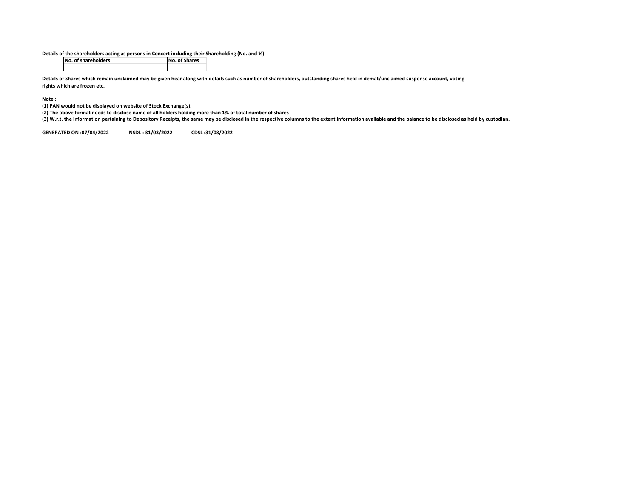Details of the shareholders acting as persons in Concert including their Shareholding (No. and %):

| No. of shareholders | No. of Shares |
|---------------------|---------------|
|                     |               |

Details of Shares which remain unclaimed may be given hear along with details such as number of shareholders, outstanding shares held in demat/unclaimed suspense account, voting rights which are frozen etc.

Note :

(1) PAN would not be displayed on website of Stock Exchange(s).

(2) The above format needs to disclose name of all holders holding more than 1% of total number of shares

(3) W.r.t. the information pertaining to Depository Receipts, the same may be disclosed in the respective columns to the extent information available and the balance to be disclosed as held by custodian.